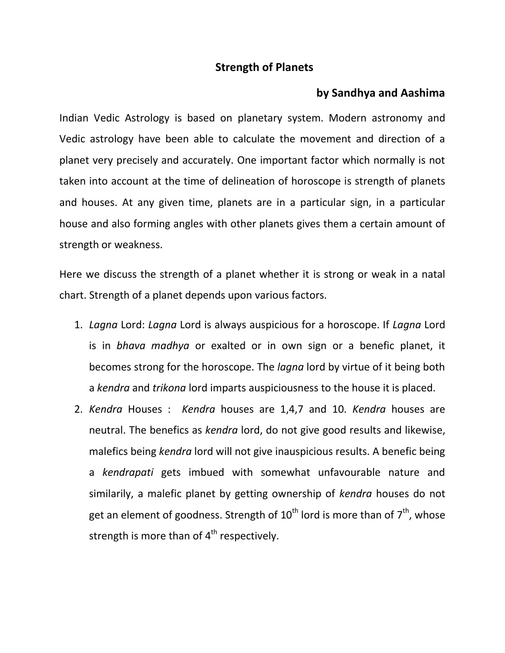## **Strength of Planets**

## **by Sandhya and Aashima**

Indian Vedic Astrology is based on planetary system. Modern astronomy and Vedic astrology have been able to calculate the movement and direction of a planet very precisely and accurately. One important factor which normally is not taken into account at the time of delineation of horoscope is strength of planets and houses. At any given time, planets are in a particular sign, in a particular house and also forming angles with other planets gives them a certain amount of strength or weakness.

Here we discuss the strength of a planet whether it is strong or weak in a natal chart. Strength of a planet depends upon various factors.

- 1. *Lagna* Lord: *Lagna* Lord is always auspicious for a horoscope. If *Lagna* Lord is in *bhava madhya* or exalted or in own sign or a benefic planet, it becomes strong for the horoscope. The *lagna* lord by virtue of it being both a *kendra* and *trikona* lord imparts auspiciousness to the house it is placed.
- 2. *Kendra* Houses : *Kendra* houses are 1,4,7 and 10. *Kendra* houses are neutral. The benefics as *kendra* lord, do not give good results and likewise, malefics being *kendra* lord will not give inauspicious results. A benefic being a *kendrapati* gets imbued with somewhat unfavourable nature and similarily, a malefic planet by getting ownership of *kendra* houses do not get an element of goodness. Strength of  $10^{th}$  lord is more than of  $7^{th}$ , whose strength is more than of  $4<sup>th</sup>$  respectively.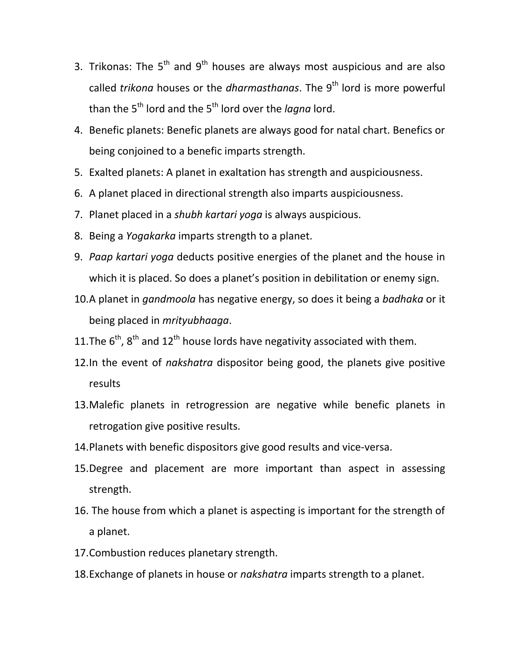- 3. Trikonas: The  $5<sup>th</sup>$  and  $9<sup>th</sup>$  houses are always most auspicious and are also called *trikona* houses or the *dharmasthanas*. The 9<sup>th</sup> lord is more powerful than the 5<sup>th</sup> lord and the 5<sup>th</sup> lord over the *lagna* lord.
- 4. Benefic planets: Benefic planets are always good for natal chart. Benefics or being conjoined to a benefic imparts strength.
- 5. Exalted planets: A planet in exaltation has strength and auspiciousness.
- 6. A planet placed in directional strength also imparts auspiciousness.
- 7. Planet placed in a *shubh kartari yoga* is always auspicious.
- 8. Being a *Yogakarka* imparts strength to a planet.
- 9. *Paap kartari yoga* deducts positive energies of the planet and the house in which it is placed. So does a planet's position in debilitation or enemy sign.
- 10.A planet in *gandmoola* has negative energy, so does it being a *badhaka* or it being placed in *mrityubhaaga*.
- 11. The  $6<sup>th</sup>$ ,  $8<sup>th</sup>$  and  $12<sup>th</sup>$  house lords have negativity associated with them.
- 12.In the event of *nakshatra* dispositor being good, the planets give positive results
- 13.Malefic planets in retrogression are negative while benefic planets in retrogation give positive results.
- 14.Planets with benefic dispositors give good results and vice-versa.
- 15.Degree and placement are more important than aspect in assessing strength.
- 16. The house from which a planet is aspecting is important for the strength of a planet.
- 17.Combustion reduces planetary strength.
- 18.Exchange of planets in house or *nakshatra* imparts strength to a planet.